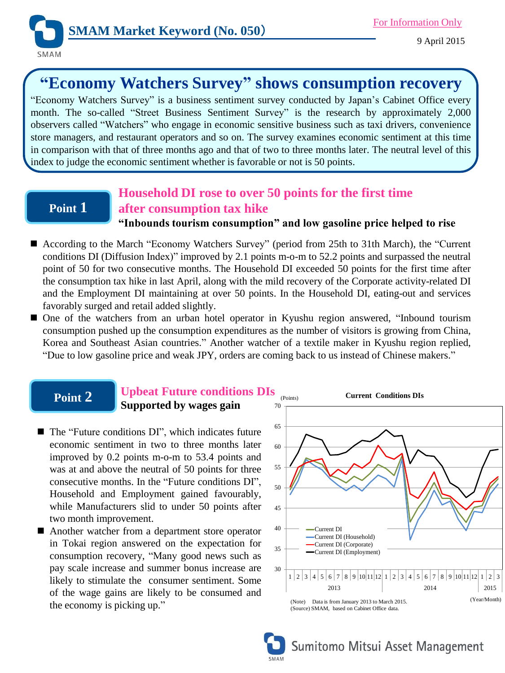

# **"Economy Watchers Survey" shows consumption recovery**

"Economy Watchers Survey" is a business sentiment survey conducted by Japan's Cabinet Office every month. The so-called "Street Business Sentiment Survey" is the research by approximately 2,000 observers called "Watchers" who engage in economic sensitive business such as taxi drivers, convenience store managers, and restaurant operators and so on. The survey examines economic sentiment at this time in comparison with that of three months ago and that of two to three months later. The neutral level of this index to judge the economic sentiment whether is favorable or not is 50 points.

## **Point 1**

## **Household DI rose to over 50 points for the first time after consumption tax hike**

## **"Inbounds tourism consumption" and low gasoline price helped to rise**

- According to the March "Economy Watchers Survey" (period from 25th to 31th March), the "Current conditions DI (Diffusion Index)" improved by 2.1 points m-o-m to 52.2 points and surpassed the neutral point of 50 for two consecutive months. The Household DI exceeded 50 points for the first time after the consumption tax hike in last April, along with the mild recovery of the Corporate activity-related DI and the Employment DI maintaining at over 50 points. In the Household DI, eating-out and services favorably surged and retail added slightly.
- One of the watchers from an urban hotel operator in Kyushu region answered, "Inbound tourism consumption pushed up the consumption expenditures as the number of visitors is growing from China, Korea and Southeast Asian countries." Another watcher of a textile maker in Kyushu region replied, "Due to low gasoline price and weak JPY, orders are coming back to us instead of Chinese makers."

## **Point 2**

### **Upbeat Future conditions DIs Supported by wages gain**

- The "Future conditions DI", which indicates future economic sentiment in two to three months later improved by 0.2 points m-o-m to 53.4 points and was at and above the neutral of 50 points for three consecutive months. In the "Future conditions DI", Household and Employment gained favourably, while Manufacturers slid to under 50 points after two month improvement.
- Another watcher from a department store operator in Tokai region answered on the expectation for consumption recovery, "Many good news such as pay scale increase and summer bonus increase are likely to stimulate the consumer sentiment. Some of the wage gains are likely to be consumed and the economy is picking up."